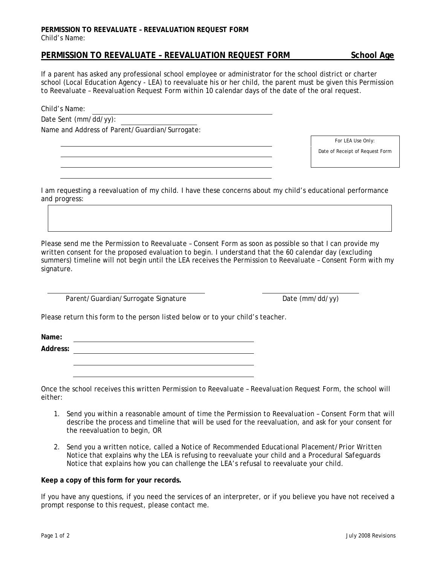## **PERMISSION TO REEVALUATE – REEVALUATION REQUEST FORM**  Child's Name:

## **PERMISSION TO REEVALUATE - REEVALUATION REQUEST FORM School Age**

If a parent has asked any professional school employee or administrator for the school district or charter school (Local Education Agency - LEA) to reevaluate his or her child, the parent must be given this *Permission to Reevaluate – Reevaluation Request Form* within 10 calendar days of the date of the oral request.

Child's Name:

Date Sent (mm/dd/yy):

Name and Address of Parent/Guardian/Surrogate:

*For LEA Use Only:* 

Date of Receipt of Request Form

I am requesting a reevaluation of my child. I have these concerns about my child's educational performance and progress:

Please send me the *Permission to Reevaluate – Consent Form* as soon as possible so that I can provide my written consent for the proposed evaluation to begin. I understand that the 60 calendar day (excluding summers) timeline will not begin until the LEA receives the *Permission to Reevaluate – Consent Form* with my signature.

Parent/Guardian/Surrogate Signature Date (mm/dd/yy)

Please return this form to the person listed below or to your child's teacher.

**Name:** 

**Address:** 

Once the school receives this written *Permission to Reevaluate – Reevaluation Request Form*, the school will either:

- 1. Send you within a reasonable amount of time the *Permission to Reevaluation Consent Form* that will describe the process and timeline that will be used for the reevaluation, and ask for your consent for the reevaluation to begin, OR
- 2. Send you a written notice, called a *Notice of Recommended Educational Placement/Prior Written Notice* that explains why the LEA is refusing to reevaluate your child and a *Procedural Safeguards Notice* that explains how you can challenge the LEA's refusal to reevaluate your child.

## **Keep a copy of this form for your records.**

If you have any questions, if you need the services of an interpreter, or if you believe you have not received a prompt response to this request, please contact me.